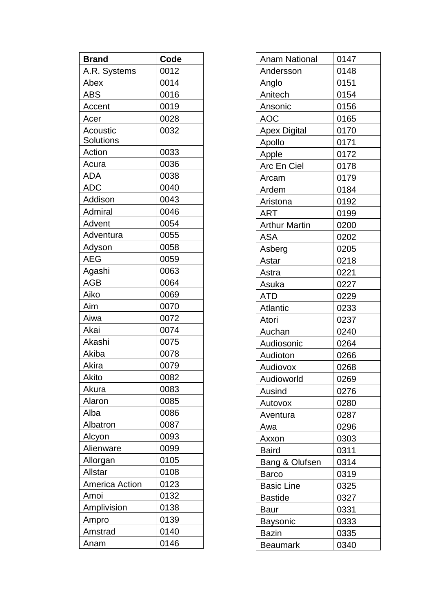| <b>Brand</b>          | Code |
|-----------------------|------|
| A.R. Systems          | 0012 |
| Abex                  | 0014 |
| <b>ABS</b>            | 0016 |
| Accent                | 0019 |
| Acer                  | 0028 |
| Acoustic              | 0032 |
| <b>Solutions</b>      |      |
| Action                | 0033 |
| Acura                 | 0036 |
| ADA                   | 0038 |
| <b>ADC</b>            | 0040 |
| Addison               | 0043 |
| Admiral               | 0046 |
| Advent                | 0054 |
| Adventura             | 0055 |
| Adyson                | 0058 |
| AEG                   | 0059 |
| Agashi                | 0063 |
| <b>AGB</b>            | 0064 |
| Aiko                  | 0069 |
| Aim                   | 0070 |
| Aiwa                  | 0072 |
| Akai                  | 0074 |
| Akashi                | 0075 |
| Akiba                 | 0078 |
| Akira                 | 0079 |
| Akito                 | 0082 |
| Akura                 | 0083 |
| Alaron                | 0085 |
| Alba                  | 0086 |
| Albatron              | 0087 |
| Alcyon                | 0093 |
| Alienware             | 0099 |
| Allorgan              | 0105 |
| Allstar               | 0108 |
| <b>America Action</b> | 0123 |
| Amoi                  | 0132 |
| Amplivision           | 0138 |
| Ampro                 | 0139 |
| Amstrad               | 0140 |
| Anam                  | 0146 |

| <b>Anam National</b> | 0147 |
|----------------------|------|
| Andersson            | 0148 |
| Anglo                | 0151 |
| Anitech              | 0154 |
| Ansonic              | 0156 |
| <b>AOC</b>           | 0165 |
| <b>Apex Digital</b>  | 0170 |
| Apollo               | 0171 |
| Apple                | 0172 |
| Arc En Ciel          | 0178 |
| Arcam                | 0179 |
| Ardem                | 0184 |
| Aristona             | 0192 |
| <b>ART</b>           | 0199 |
| <b>Arthur Martin</b> | 0200 |
| <b>ASA</b>           | 0202 |
| Asberg               | 0205 |
| Astar                | 0218 |
| Astra                | 0221 |
| Asuka                | 0227 |
| <b>ATD</b>           | 0229 |
| Atlantic             | 0233 |
| Atori                | 0237 |
| Auchan               | 0240 |
| Audiosonic           | 0264 |
| Audioton             | 0266 |
| Audiovox             | 0268 |
| Audioworld           | 0269 |
| Ausind               | 0276 |
| Autovox              | 0280 |
| Aventura             | 0287 |
| Awa                  | 0296 |
| Axxon                | 0303 |
| <b>Baird</b>         | 0311 |
| Bang & Olufsen       | 0314 |
| <b>Barco</b>         | 0319 |
| <b>Basic Line</b>    | 0325 |
| <b>Bastide</b>       | 0327 |
| <b>Baur</b>          | 0331 |
| <b>Baysonic</b>      | 0333 |
| <b>Bazin</b>         | 0335 |
| <b>Beaumark</b>      | 0340 |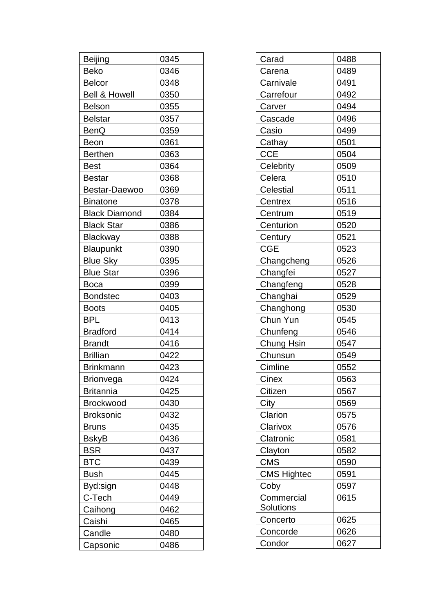| Beijing                  | 0345 |
|--------------------------|------|
| Beko                     | 0346 |
| <b>Belcor</b>            | 0348 |
| <b>Bell &amp; Howell</b> | 0350 |
| <b>Belson</b>            | 0355 |
| <b>Belstar</b>           | 0357 |
| <b>BenQ</b>              | 0359 |
| Beon                     | 0361 |
| <b>Berthen</b>           | 0363 |
| <b>Best</b>              | 0364 |
| <b>Bestar</b>            | 0368 |
| Bestar-Daewoo            | 0369 |
| <b>Binatone</b>          | 0378 |
| <b>Black Diamond</b>     | 0384 |
| <b>Black Star</b>        | 0386 |
| <b>Blackway</b>          | 0388 |
| Blaupunkt                | 0390 |
| <b>Blue Sky</b>          | 0395 |
| <b>Blue Star</b>         | 0396 |
| Boca                     | 0399 |
| <b>Bondstec</b>          | 0403 |
| <b>Boots</b>             | 0405 |
| BPL                      | 0413 |
| <b>Bradford</b>          | 0414 |
| <b>Brandt</b>            | 0416 |
| <b>Brillian</b>          | 0422 |
| <b>Brinkmann</b>         | 0423 |
| Brionvega                | 0424 |
| <b>Britannia</b>         | 0425 |
| <b>Brockwood</b>         | 0430 |
| <b>Broksonic</b>         | 0432 |
| <b>Bruns</b>             | 0435 |
| <b>BskyB</b>             | 0436 |
| <b>BSR</b>               | 0437 |
| <b>BTC</b>               | 0439 |
| <b>Bush</b>              | 0445 |
| Byd:sign                 | 0448 |
| C-Tech                   | 0449 |
| Caihong                  | 0462 |
| Caishi                   | 0465 |
| Candle                   | 0480 |
| Capsonic                 | 0486 |

| Carad              | 0488 |
|--------------------|------|
| Carena             | 0489 |
| Carnivale          | 0491 |
| Carrefour          | 0492 |
| Carver             | 0494 |
| Cascade            | 0496 |
| Casio              | 0499 |
| Cathay             | 0501 |
| <b>CCE</b>         | 0504 |
| Celebrity          | 0509 |
| Celera             | 0510 |
| Celestial          | 0511 |
| Centrex            | 0516 |
| Centrum            | 0519 |
| Centurion          | 0520 |
| Century            | 0521 |
| <b>CGE</b>         | 0523 |
| Changcheng         | 0526 |
| Changfei           | 0527 |
| Changfeng          | 0528 |
| Changhai           | 0529 |
| Changhong          | 0530 |
| Chun Yun           | 0545 |
| Chunfeng           | 0546 |
| Chung Hsin         | 0547 |
| Chunsun            | 0549 |
| Cimline            | 0552 |
| Cinex              | 0563 |
| Citizen            | 0567 |
| City               | 0569 |
| Clarion            | 0575 |
| Clarivox           | 0576 |
| Clatronic          | 0581 |
| Clayton            | 0582 |
| <b>CMS</b>         | 0590 |
| <b>CMS Hightec</b> | 0591 |
| Coby               | 0597 |
| Commercial         | 0615 |
| Solutions          |      |
| Concerto           | 0625 |
| Concorde           | 0626 |
| Condor             | 0627 |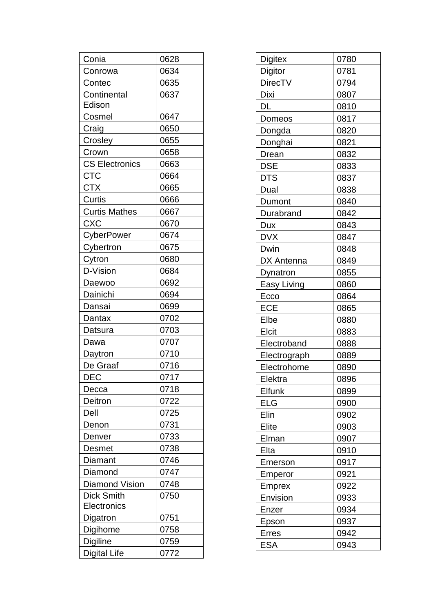| Conia                 | 0628 |
|-----------------------|------|
| Conrowa               | 0634 |
| Contec                | 0635 |
| Continental           | 0637 |
| Edison                |      |
| Cosmel                | 0647 |
| Craig                 | 0650 |
| Crosley               | 0655 |
| Crown                 | 0658 |
| <b>CS Electronics</b> | 0663 |
| CTC                   | 0664 |
| <b>CTX</b>            | 0665 |
| Curtis                | 0666 |
| <b>Curtis Mathes</b>  | 0667 |
| <b>CXC</b>            | 0670 |
| CyberPower            | 0674 |
| Cybertron             | 0675 |
| Cytron                | 0680 |
| D-Vision              | 0684 |
| Daewoo                | 0692 |
| Dainichi              | 0694 |
| Dansai                | 0699 |
| Dantax                | 0702 |
| Datsura               | 0703 |
| Dawa                  | 0707 |
| Daytron               | 0710 |
| De Graaf              | 0716 |
| DEC.                  | 0717 |
| Decca                 | 0718 |
| Deitron               | 0722 |
| Dell                  | 0725 |
| Denon                 | 0731 |
| Denver                | 0733 |
| Desmet                | 0738 |
| Diamant               | 0746 |
| Diamond               | 0747 |
| <b>Diamond Vision</b> | 0748 |
| <b>Dick Smith</b>     | 0750 |
| Electronics           |      |
| Digatron              | 0751 |
| Digihome              | 0758 |
| <b>Digiline</b>       | 0759 |
| <b>Digital Life</b>   | 0772 |

| <b>Digitex</b> | 0780 |
|----------------|------|
| Digitor        | 0781 |
| <b>DirecTV</b> | 0794 |
| Dixi           | 0807 |
| DL             | 0810 |
| Domeos         | 0817 |
| Dongda         | 0820 |
| Donghai        | 0821 |
| Drean          | 0832 |
| <b>DSE</b>     | 0833 |
| <b>DTS</b>     | 0837 |
| Dual           | 0838 |
| Dumont         | 0840 |
| Durabrand      | 0842 |
| <b>Dux</b>     | 0843 |
| <b>DVX</b>     | 0847 |
| Dwin           | 0848 |
| DX Antenna     | 0849 |
| Dynatron       | 0855 |
| Easy Living    | 0860 |
| Ecco           | 0864 |
| <b>ECE</b>     | 0865 |
| Elbe           | 0880 |
| Elcit          | 0883 |
| Electroband    | 0888 |
| Electrograph   | 0889 |
| Electrohome    | 0890 |
| Elektra        | 0896 |
| Elfunk         | 0899 |
| <b>ELG</b>     | 0900 |
| Elin           | 0902 |
| Elite          | 0903 |
| Elman          | 0907 |
| Elta           | 0910 |
| Emerson        | 0917 |
| Emperor        | 0921 |
| <b>Emprex</b>  | 0922 |
| Envision       | 0933 |
| Enzer          | 0934 |
| Epson          | 0937 |
| <b>Erres</b>   | 0942 |
| <b>ESA</b>     | 0943 |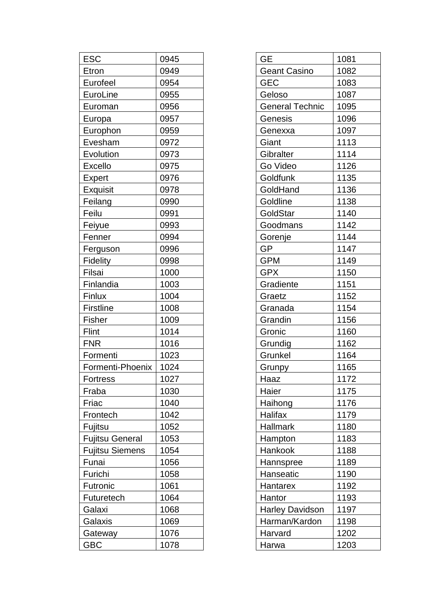| 0945 |
|------|
| 0949 |
| 0954 |
| 0955 |
| 0956 |
| 0957 |
| 0959 |
| 0972 |
| 0973 |
| 0975 |
| 0976 |
| 0978 |
| 0990 |
| 0991 |
| 0993 |
| 0994 |
| 0996 |
| 0998 |
| 1000 |
| 1003 |
| 1004 |
| 1008 |
| 1009 |
| 1014 |
| 1016 |
| 1023 |
| 1024 |
| 1027 |
| 1030 |
| 1040 |
| 1042 |
| 1052 |
| 1053 |
| 1054 |
| 1056 |
| 1058 |
| 1061 |
| 1064 |
| 1068 |
| 1069 |
| 1076 |
| 1078 |
|      |

| <b>GE</b>              | 1081 |
|------------------------|------|
| <b>Geant Casino</b>    | 1082 |
| <b>GEC</b>             | 1083 |
| Geloso                 | 1087 |
| <b>General Technic</b> | 1095 |
| Genesis                | 1096 |
| Genexxa                | 1097 |
| Giant                  | 1113 |
| Gibralter              | 1114 |
| Go Video               | 1126 |
| Goldfunk               | 1135 |
| GoldHand               | 1136 |
| Goldline               | 1138 |
| GoldStar               | 1140 |
| Goodmans               | 1142 |
| Gorenje                | 1144 |
| <b>GP</b>              | 1147 |
| <b>GPM</b>             | 1149 |
| <b>GPX</b>             | 1150 |
| Gradiente              | 1151 |
| Graetz                 | 1152 |
| Granada                | 1154 |
| Grandin                | 1156 |
| Gronic                 | 1160 |
| Grundig                | 1162 |
| Grunkel                | 1164 |
| Grunpy                 | 1165 |
| Haaz                   | 1172 |
| Haier                  | 1175 |
| Haihong                | 1176 |
| Halifax                | 1179 |
| Hallmark               | 1180 |
| Hampton                | 1183 |
| Hankook                | 1188 |
| Hannspree              | 1189 |
| Hanseatic              | 1190 |
| Hantarex               | 1192 |
| Hantor                 | 1193 |
| <b>Harley Davidson</b> | 1197 |
| Harman/Kardon          | 1198 |
| Harvard                | 1202 |
| Harwa                  | 1203 |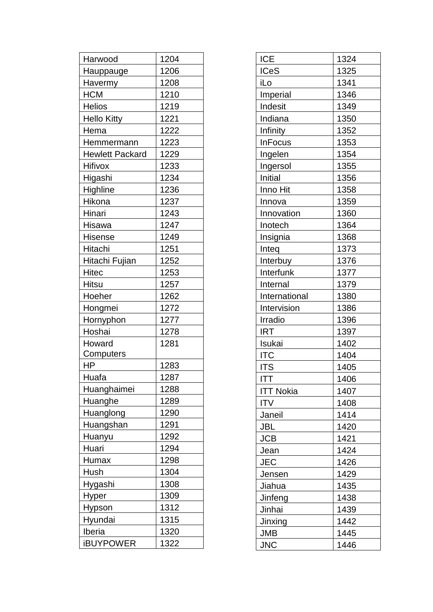| Harwood                | 1204 |
|------------------------|------|
| <b>Hauppauge</b>       | 1206 |
| Havermy                | 1208 |
| <b>HCM</b>             | 1210 |
| <b>Helios</b>          | 1219 |
| <b>Hello Kitty</b>     | 1221 |
| Hema                   | 1222 |
| Hemmermann             | 1223 |
| <b>Hewlett Packard</b> | 1229 |
| Hifivox                | 1233 |
| Higashi                | 1234 |
| Highline               | 1236 |
| Hikona                 | 1237 |
| Hinari                 | 1243 |
| Hisawa                 | 1247 |
| Hisense                | 1249 |
| Hitachi                | 1251 |
| Hitachi Fujian         | 1252 |
| <b>Hitec</b>           | 1253 |
| Hitsu                  | 1257 |
| Hoeher                 | 1262 |
| Hongmei                | 1272 |
| Hornyphon              | 1277 |
| Hoshai                 | 1278 |
| Howard                 | 1281 |
| Computers              |      |
| HP                     | 1283 |
| Huafa                  | 1287 |
| Huanghaimei            | 1288 |
| Huanghe                | 1289 |
| Huanglong              | 1290 |
| Huangshan              | 1291 |
| Huanyu                 | 1292 |
| Huari                  | 1294 |
| Humax                  | 1298 |
| Hush                   | 1304 |
| Hygashi                | 1308 |
| <b>Hyper</b>           | 1309 |
| Hypson                 | 1312 |
| Hyundai                | 1315 |
| Iberia                 | 1320 |
| <b>iBUYPOWER</b>       | 1322 |

| <b>ICE</b>       | 1324 |
|------------------|------|
| <b>ICeS</b>      | 1325 |
| iLo              | 1341 |
| Imperial         | 1346 |
| Indesit          | 1349 |
| Indiana          | 1350 |
| Infinity         | 1352 |
| <b>InFocus</b>   | 1353 |
| Ingelen          | 1354 |
| Ingersol         | 1355 |
| Initial          | 1356 |
| Inno Hit         | 1358 |
| Innova           | 1359 |
| Innovation       | 1360 |
| Inotech          | 1364 |
| Insignia         | 1368 |
| Inteq            | 1373 |
| Interbuy         | 1376 |
| Interfunk        | 1377 |
| Internal         | 1379 |
| International    | 1380 |
| Intervision      | 1386 |
| Irradio          | 1396 |
| <b>IRT</b>       | 1397 |
| Isukai           | 1402 |
| <b>ITC</b>       | 1404 |
| <b>ITS</b>       | 1405 |
| <b>ITT</b>       | 1406 |
| <b>ITT Nokia</b> | 1407 |
| <b>ITV</b>       | 1408 |
| Janeil           | 1414 |
| <b>JBL</b>       | 1420 |
| <b>JCB</b>       | 1421 |
| Jean             | 1424 |
| <b>JEC</b>       | 1426 |
| Jensen           | 1429 |
| Jiahua           | 1435 |
| Jinfeng          | 1438 |
| Jinhai           | 1439 |
| Jinxing          | 1442 |
| <b>JMB</b>       | 1445 |
| <b>JNC</b>       | 1446 |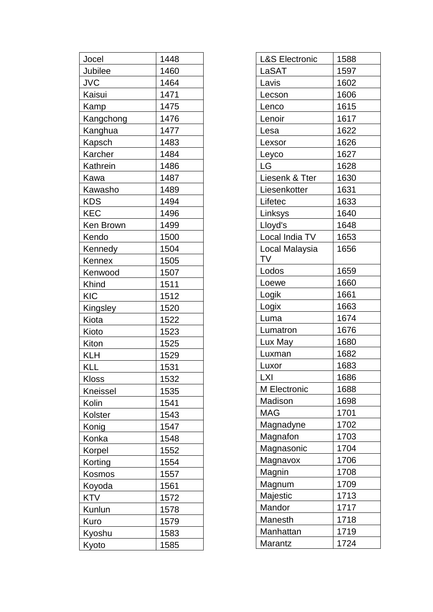| Jocel        | 1448 |
|--------------|------|
| Jubilee      | 1460 |
| <b>JVC</b>   | 1464 |
| Kaisui       | 1471 |
| Kamp         | 1475 |
| Kangchong    | 1476 |
| Kanghua      | 1477 |
| Kapsch       | 1483 |
| Karcher      | 1484 |
| Kathrein     | 1486 |
| Kawa         | 1487 |
| Kawasho      | 1489 |
| KDS          | 1494 |
| <b>KEC</b>   | 1496 |
| Ken Brown    | 1499 |
| Kendo        | 1500 |
| Kennedy      | 1504 |
| Kennex       | 1505 |
| Kenwood      | 1507 |
| Khind        | 1511 |
| <b>KIC</b>   | 1512 |
| Kingsley     | 1520 |
| Kiota        | 1522 |
| Kioto        | 1523 |
| Kiton        | 1525 |
| KLH          | 1529 |
| KLL          | 1531 |
| <b>Kloss</b> | 1532 |
| Kneissel     | 1535 |
| Kolin        | 1541 |
| Kolster      | 1543 |
| Konig        | 1547 |
| Konka        | 1548 |
| Korpel       | 1552 |
| Korting      | 1554 |
| Kosmos       | 1557 |
| Koyoda       | 1561 |
| KTV          | 1572 |
| Kunlun       | 1578 |
| Kuro         | 1579 |
| Kyoshu       | 1583 |
| Kyoto        | 1585 |

| <b>L&amp;S Electronic</b> | 1588 |
|---------------------------|------|
| LaSAT                     | 1597 |
| Lavis                     | 1602 |
| Lecson                    | 1606 |
| Lenco                     | 1615 |
| Lenoir                    | 1617 |
| Lesa                      | 1622 |
| Lexsor                    | 1626 |
| Leyco                     | 1627 |
| LG                        | 1628 |
| Liesenk & Tter            | 1630 |
| Liesenkotter              | 1631 |
| Lifetec                   | 1633 |
| Linksys                   | 1640 |
| Lloyd's                   | 1648 |
| Local India TV            | 1653 |
| Local Malaysia<br>TV      | 1656 |
| Lodos                     | 1659 |
| Loewe                     | 1660 |
| Logik                     | 1661 |
| Logix                     | 1663 |
| Luma                      | 1674 |
| Lumatron                  | 1676 |
| Lux May                   | 1680 |
| Luxman                    | 1682 |
| Luxor                     | 1683 |
| LXI                       | 1686 |
| M Electronic              | 1688 |
| Madison                   | 1698 |
| MAG                       | 1701 |
| Magnadyne                 | 1702 |
| Magnafon                  | 1703 |
| Magnasonic                | 1704 |
| Magnavox                  | 1706 |
| Magnin                    | 1708 |
| Magnum                    | 1709 |
| Majestic                  | 1713 |
| Mandor                    | 1717 |
| Manesth                   | 1718 |
| Manhattan                 | 1719 |
| Marantz                   | 1724 |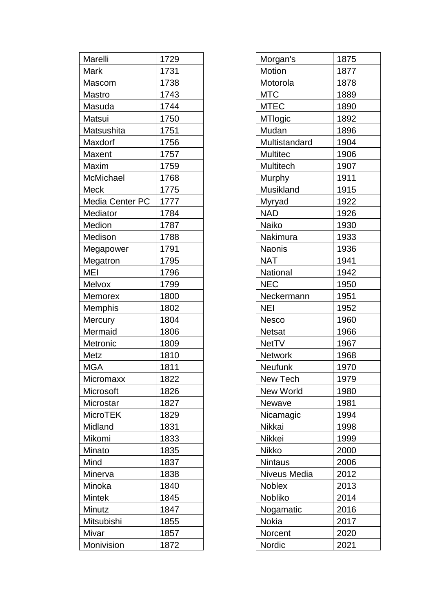| Marelli                | 1729 |
|------------------------|------|
| Mark                   | 1731 |
| Mascom                 | 1738 |
| Mastro                 | 1743 |
| Masuda                 | 1744 |
| Matsui                 | 1750 |
| Matsushita             | 1751 |
| Maxdorf                | 1756 |
| Maxent                 | 1757 |
| Maxim                  | 1759 |
| McMichael              | 1768 |
| Meck                   | 1775 |
| <b>Media Center PC</b> | 1777 |
| Mediator               | 1784 |
| Medion                 | 1787 |
| Medison                | 1788 |
| Megapower              | 1791 |
| Megatron               | 1795 |
| MEI                    | 1796 |
| Melvox                 | 1799 |
| <b>Memorex</b>         | 1800 |
| Memphis                | 1802 |
| <b>Mercury</b>         | 1804 |
| Mermaid                | 1806 |
| Metronic               | 1809 |
| Metz                   | 1810 |
| MGA                    | 1811 |
| Micromaxx              | 1822 |
| Microsoft              | 1826 |
| Microstar              | 1827 |
| <b>MicroTEK</b>        | 1829 |
| Midland                | 1831 |
| Mikomi                 | 1833 |
| Minato                 | 1835 |
| Mind                   | 1837 |
| Minerva                | 1838 |
| Minoka                 | 1840 |
| <b>Mintek</b>          | 1845 |
| Minutz                 | 1847 |
| Mitsubishi             | 1855 |
| Mivar                  | 1857 |
| Monivision             | 1872 |

| Morgan's         | 1875 |
|------------------|------|
| Motion           | 1877 |
| Motorola         | 1878 |
| MTC              | 1889 |
| MTEC             | 1890 |
| <b>MTlogic</b>   | 1892 |
| Mudan            | 1896 |
| Multistandard    | 1904 |
| Multitec         | 1906 |
| <b>Multitech</b> | 1907 |
| <b>Murphy</b>    | 1911 |
| Musikland        | 1915 |
| Myryad           | 1922 |
| NAD              | 1926 |
| Naiko            | 1930 |
| Nakimura         | 1933 |
| <b>Naonis</b>    | 1936 |
| <b>NAT</b>       | 1941 |
| National         | 1942 |
| <b>NEC</b>       | 1950 |
| Neckermann       | 1951 |
| NEI              | 1952 |
| Nesco            | 1960 |
| <b>Netsat</b>    | 1966 |
| <b>NetTV</b>     | 1967 |
| <b>Network</b>   | 1968 |
| Neufunk          | 1970 |
| New Tech         | 1979 |
| New World        | 1980 |
| Newave           | 1981 |
| Nicamagic        | 1994 |
| Nikkai           | 1998 |
| Nikkei           | 1999 |
| <b>Nikko</b>     | 2000 |
| <b>Nintaus</b>   | 2006 |
| Niveus Media     | 2012 |
| <b>Noblex</b>    | 2013 |
| Nobliko          | 2014 |
| Nogamatic        | 2016 |
| Nokia            | 2017 |
| Norcent          | 2020 |
| Nordic           | 2021 |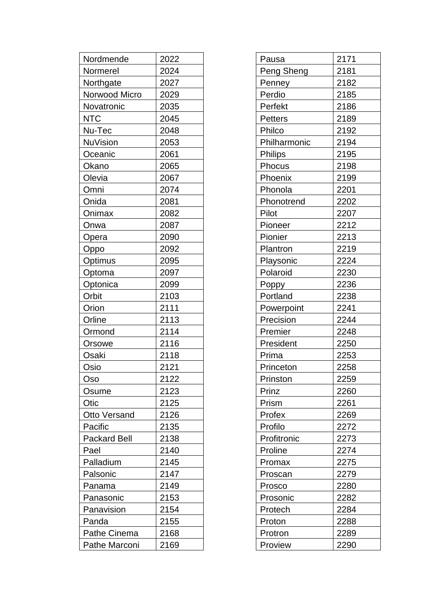| Nordmende           | 2022 |
|---------------------|------|
| Normerel            | 2024 |
| Northgate           | 2027 |
| Norwood Micro       | 2029 |
| Novatronic          | 2035 |
| NTC                 | 2045 |
| Nu-Tec              | 2048 |
| NuVision            | 2053 |
| Oceanic             | 2061 |
| Okano               | 2065 |
| Olevia              | 2067 |
| Omni                | 2074 |
| Onida               | 2081 |
| Onimax              | 2082 |
| Onwa                | 2087 |
| Opera               | 2090 |
| Oppo                | 2092 |
| Optimus             | 2095 |
| Optoma              | 2097 |
| Optonica            | 2099 |
| Orbit               | 2103 |
| Orion               | 2111 |
| Orline              | 2113 |
| Ormond              | 2114 |
| Orsowe              | 2116 |
| Osaki               | 2118 |
| Osio                | 2121 |
| Oso                 | 2122 |
| Osume               | 2123 |
| Otic                | 2125 |
| <b>Otto Versand</b> | 2126 |
| Pacific             | 2135 |
| <b>Packard Bell</b> | 2138 |
| Pael                | 2140 |
| Palladium           | 2145 |
| Palsonic            | 2147 |
| Panama              | 2149 |
| Panasonic           | 2153 |
| Panavision          | 2154 |
| Panda               | 2155 |
| Pathe Cinema        | 2168 |
| Pathe Marconi       | 2169 |

| Pausa          | 2171 |
|----------------|------|
| Peng Sheng     | 2181 |
| Penney         | 2182 |
| Perdio         | 2185 |
| Perfekt        | 2186 |
| <b>Petters</b> | 2189 |
| Philco         | 2192 |
| Philharmonic   | 2194 |
| <b>Philips</b> | 2195 |
| Phocus         | 2198 |
| Phoenix        | 2199 |
| Phonola        | 2201 |
| Phonotrend     | 2202 |
| Pilot          | 2207 |
| Pioneer        | 2212 |
| Pionier        | 2213 |
| Plantron       | 2219 |
| Playsonic      | 2224 |
| Polaroid       | 2230 |
| <b>Poppy</b>   | 2236 |
| Portland       | 2238 |
| Powerpoint     | 2241 |
| Precision      | 2244 |
| Premier        | 2248 |
| President      | 2250 |
| Prima          | 2253 |
| Princeton      | 2258 |
| Prinston       | 2259 |
| Prinz          | 2260 |
| Prism          | 2261 |
| Profex         | 2269 |
| Profilo        | 2272 |
| Profitronic    | 2273 |
| Proline        | 2274 |
| Promax         | 2275 |
| Proscan        | 2279 |
| Prosco         | 2280 |
| Prosonic       | 2282 |
| Protech        | 2284 |
| Proton         | 2288 |
| Protron        | 2289 |
| Proview        | 2290 |
|                |      |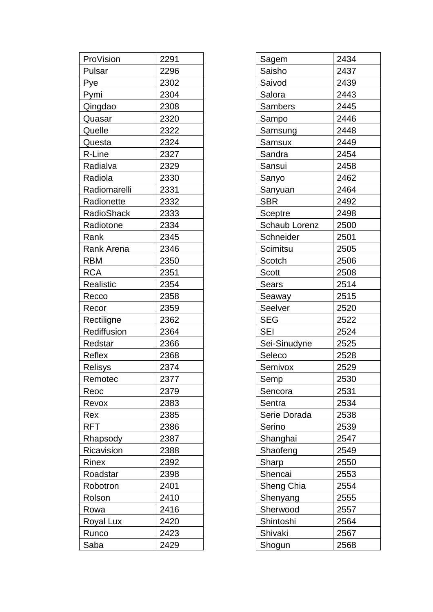| ProVision         | 2291 |
|-------------------|------|
| Pulsar            | 2296 |
| Pye               | 2302 |
| Pymi              | 2304 |
| Qingdao           | 2308 |
| Quasar            | 2320 |
| Quelle            | 2322 |
| Questa            | 2324 |
| R-Line            | 2327 |
| Radialva          | 2329 |
| Radiola           | 2330 |
| Radiomarelli      | 2331 |
| Radionette        | 2332 |
| <b>RadioShack</b> | 2333 |
| Radiotone         | 2334 |
| Rank              | 2345 |
| <b>Rank Arena</b> | 2346 |
| <b>RBM</b>        | 2350 |
| <b>RCA</b>        | 2351 |
| <b>Realistic</b>  | 2354 |
| Recco             | 2358 |
| Recor             | 2359 |
| Rectiligne        | 2362 |
| Rediffusion       | 2364 |
| Redstar           | 2366 |
| Reflex            | 2368 |
| Relisys           | 2374 |
| Remotec           | 2377 |
| Reoc              | 2379 |
| Revox             | 2383 |
| Rex               | 2385 |
| RFT               | 2386 |
| Rhapsody          | 2387 |
| Ricavision        | 2388 |
| Rinex             | 2392 |
| Roadstar          | 2398 |
| Robotron          | 2401 |
| Rolson            | 2410 |
| Rowa              | 2416 |
| Royal Lux         | 2420 |
| Runco             | 2423 |
| Saba              | 2429 |

| Sagem          | 2434 |
|----------------|------|
| Saisho         | 2437 |
| Saivod         | 2439 |
| Salora         | 2443 |
| <b>Sambers</b> | 2445 |
| Sampo          | 2446 |
| Samsung        | 2448 |
| Samsux         | 2449 |
| Sandra         | 2454 |
| Sansui         | 2458 |
| Sanyo          | 2462 |
| Sanyuan        | 2464 |
| <b>SBR</b>     | 2492 |
| Sceptre        | 2498 |
| Schaub Lorenz  | 2500 |
| Schneider      | 2501 |
| Scimitsu       | 2505 |
| Scotch         | 2506 |
| Scott          | 2508 |
| <b>Sears</b>   | 2514 |
| Seaway         | 2515 |
| Seelver        | 2520 |
| <b>SEG</b>     | 2522 |
| <b>SEI</b>     | 2524 |
| Sei-Sinudyne   | 2525 |
| Seleco         | 2528 |
| Semivox        | 2529 |
| Semp           | 2530 |
| Sencora        | 2531 |
| Sentra         | 2534 |
| Serie Dorada   | 2538 |
| Serino         | 2539 |
| Shanghai       | 2547 |
| Shaofeng       | 2549 |
| Sharp          | 2550 |
| Shencai        | 2553 |
| Sheng Chia     | 2554 |
| Shenyang       | 2555 |
| Sherwood       | 2557 |
| Shintoshi      | 2564 |
| Shivaki        | 2567 |
| Shogun         | 2568 |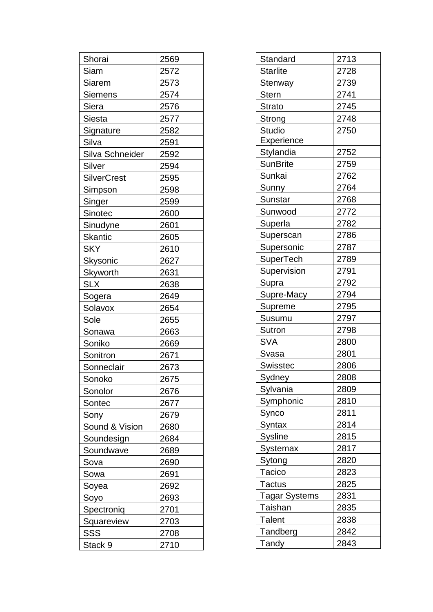| Shorai             | 2569 |
|--------------------|------|
| Siam               | 2572 |
| Siarem             | 2573 |
| <b>Siemens</b>     | 2574 |
| Siera              | 2576 |
| Siesta             | 2577 |
| Signature          | 2582 |
| Silva              | 2591 |
| Silva Schneider    | 2592 |
| Silver             | 2594 |
| <b>SilverCrest</b> | 2595 |
| Simpson            | 2598 |
| Singer             | 2599 |
| Sinotec            | 2600 |
| Sinudyne           | 2601 |
| <b>Skantic</b>     | 2605 |
| <b>SKY</b>         | 2610 |
| Skysonic           | 2627 |
| Skyworth           | 2631 |
| <b>SLX</b>         | 2638 |
| Sogera             | 2649 |
| Solavox            | 2654 |
| Sole               | 2655 |
| Sonawa             | 2663 |
| Soniko             | 2669 |
| Sonitron           | 2671 |
| Sonneclair         | 2673 |
| Sonoko             | 2675 |
| Sonolor            | 2676 |
| Sontec             | 2677 |
| Sony               | 2679 |
| Sound & Vision     | 2680 |
| Soundesign         | 2684 |
| Soundwave          | 2689 |
| Sova               | 2690 |
| Sowa               | 2691 |
| Soyea              | 2692 |
| Soyo               | 2693 |
| Spectroniq         | 2701 |
| Squareview         | 2703 |
| SSS                | 2708 |
| Stack 9            | 2710 |

| Standard         | 2713 |
|------------------|------|
| <b>Starlite</b>  | 2728 |
| Stenway          | 2739 |
| <b>Stern</b>     | 2741 |
| <b>Strato</b>    | 2745 |
| Strong           | 2748 |
| <b>Studio</b>    | 2750 |
| Experience       |      |
| Stylandia        | 2752 |
| <b>SunBrite</b>  | 2759 |
| Sunkai           | 2762 |
| Sunny            | 2764 |
| <b>Sunstar</b>   | 2768 |
| Sunwood          | 2772 |
| Superla          | 2782 |
| Superscan        | 2786 |
| Supersonic       | 2787 |
| <b>SuperTech</b> | 2789 |
| Supervision      | 2791 |
| Supra            | 2792 |
| Supre-Macy       | 2794 |
| Supreme          | 2795 |
| Susumu           | 2797 |
| Sutron           | 2798 |
| <b>SVA</b>       | 2800 |
| Svasa            | 2801 |
| Swisstec         | 2806 |
| Sydney           | 2808 |
| <b>Sylvania</b>  | 2809 |
| Symphonic        | 2810 |
| Synco            | 2811 |
| <b>Syntax</b>    | 2814 |
| <b>Sysline</b>   | 2815 |
| <b>Systemax</b>  | 2817 |
| Sytong           | 2820 |
| Tacico           | 2823 |
| <b>Tactus</b>    | 2825 |
| Tagar Systems    | 2831 |
| Taishan          | 2835 |
| <b>Talent</b>    | 2838 |
| Tandberg         | 2842 |
| Tandy            | 2843 |
|                  |      |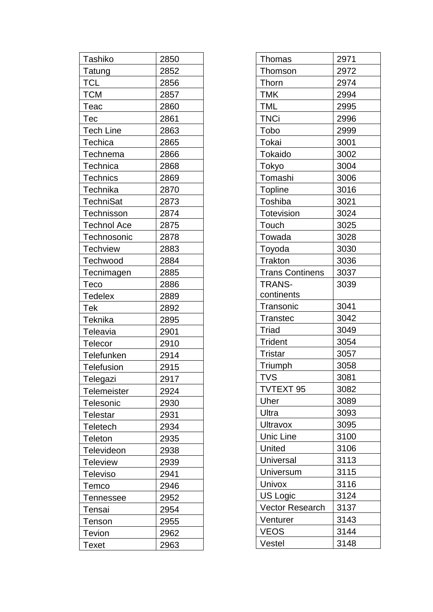| Tashiko            | 2850 |
|--------------------|------|
| Tatung             | 2852 |
| <b>TCL</b>         | 2856 |
| <b>TCM</b>         | 2857 |
| Teac               | 2860 |
| Тес                | 2861 |
| <b>Tech Line</b>   | 2863 |
| Techica            | 2865 |
| Technema           | 2866 |
| Technica           | 2868 |
| <b>Technics</b>    | 2869 |
| Technika           | 2870 |
| <b>TechniSat</b>   | 2873 |
| <b>Technisson</b>  | 2874 |
| <b>Technol Ace</b> | 2875 |
| Technosonic        | 2878 |
| <b>Techview</b>    | 2883 |
| Techwood           | 2884 |
| Tecnimagen         | 2885 |
| Teco               | 2886 |
| <b>Tedelex</b>     | 2889 |
| Tek                | 2892 |
| Teknika            | 2895 |
| Teleavia           | 2901 |
| Telecor            | 2910 |
| Telefunken         | 2914 |
| Telefusion         | 2915 |
| Telegazi           | 2917 |
| Telemeister        | 2924 |
| Telesonic          | 2930 |
| Telestar           | 2931 |
| Teletech           | 2934 |
| Teleton            | 2935 |
| Televideon         | 2938 |
| Teleview           | 2939 |
| Televiso           | 2941 |
| Temco              | 2946 |
| Tennessee          | 2952 |
| Tensai             | 2954 |
| Tenson             | 2955 |
| Tevion             | 2962 |
| Texet              | 2963 |

| Thomas                 | 2971 |
|------------------------|------|
| Thomson                | 2972 |
| Thorn                  | 2974 |
| <b>TMK</b>             | 2994 |
| <b>TML</b>             | 2995 |
| <b>TNCi</b>            | 2996 |
| Tobo                   | 2999 |
| Tokai                  | 3001 |
| Tokaido                | 3002 |
| Tokyo                  | 3004 |
| Tomashi                | 3006 |
| <b>Topline</b>         | 3016 |
| Toshiba                | 3021 |
| <b>Totevision</b>      | 3024 |
| Touch                  | 3025 |
| Towada                 | 3028 |
| Toyoda                 | 3030 |
| Trakton                | 3036 |
| <b>Trans Continens</b> | 3037 |
| <b>TRANS-</b>          | 3039 |
| continents             |      |
| Transonic              | 3041 |
| <b>Transtec</b>        | 3042 |
| <b>Triad</b>           | 3049 |
| <b>Trident</b>         | 3054 |
| <b>Tristar</b>         | 3057 |
| Triumph                | 3058 |
| <b>TVS</b>             | 3081 |
| <b>TVTEXT 95</b>       | 3082 |
| Uher                   | 3089 |
| Ultra                  | 3093 |
| <b>Ultravox</b>        | 3095 |
| <b>Unic Line</b>       | 3100 |
| <b>United</b>          | 3106 |
| Universal              | 3113 |
| Universum              | 3115 |
| Univox                 | 3116 |
| US Logic               | 3124 |
| <b>Vector Research</b> | 3137 |
| Venturer               | 3143 |
| <b>VEOS</b>            | 3144 |
| Vestel                 | 3148 |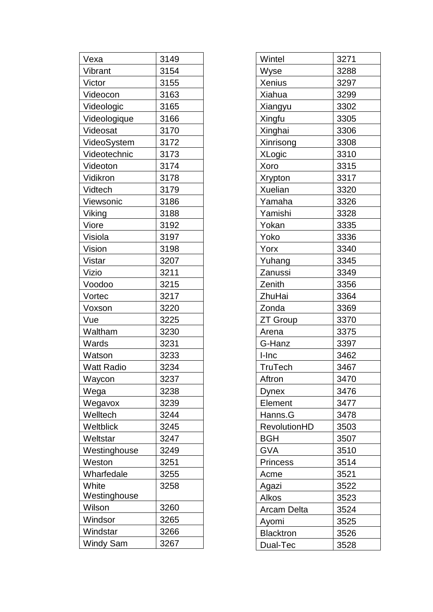| Vexa              | 3149 |
|-------------------|------|
| Vibrant           | 3154 |
| Victor            | 3155 |
| Videocon          | 3163 |
| Videologic        | 3165 |
| Videologique      | 3166 |
| Videosat          | 3170 |
| VideoSystem       | 3172 |
| Videotechnic      | 3173 |
| Videoton          | 3174 |
| Vidikron          | 3178 |
| Vidtech           | 3179 |
| Viewsonic         | 3186 |
| Viking            | 3188 |
| Viore             | 3192 |
| Visiola           | 3197 |
| Vision            | 3198 |
| Vistar            | 3207 |
| Vizio             | 3211 |
| Voodoo            | 3215 |
| Vortec            | 3217 |
| Voxson            | 3220 |
| Vue               | 3225 |
| Waltham           | 3230 |
| Wards             | 3231 |
| Watson            | 3233 |
| <b>Watt Radio</b> | 3234 |
| Wa <u>ycon</u>    | 3237 |
| Wega              | 3238 |
| Wegavox           | 3239 |
| Welltech          | 3244 |
| Weltblick         | 3245 |
| Weltstar          | 3247 |
| Westinghouse      | 3249 |
| Weston            | 3251 |
| Wharfedale        | 3255 |
| White             | 3258 |
| Westinghouse      |      |
| Wilson            | 3260 |
| Windsor           | 3265 |
| Windstar          | 3266 |
| <b>Windy Sam</b>  | 3267 |

| Wintel           | 3271 |
|------------------|------|
| Wyse             | 3288 |
| <b>Xenius</b>    | 3297 |
| Xiahua           | 3299 |
| <b>Xiangyu</b>   | 3302 |
| Xingfu           | 3305 |
| Xinghai          | 3306 |
| <b>Xinrisong</b> | 3308 |
| <b>XLogic</b>    | 3310 |
| Xoro             | 3315 |
| <b>Xrypton</b>   | 3317 |
| Xuelian          | 3320 |
| Yamaha           | 3326 |
| Yamishi          | 3328 |
| Yokan            | 3335 |
| Yoko             | 3336 |
| Yorx             | 3340 |
| Yuhang           | 3345 |
| Zanussi          | 3349 |
| Zenith           | 3356 |
| ZhuHai           | 3364 |
| Zonda            | 3369 |
| ZT Group         | 3370 |
| Arena            | 3375 |
| G-Hanz           | 3397 |
| I-Inc            | 3462 |
| <b>TruTech</b>   | 3467 |
| Aftron           | 3470 |
| <b>Dynex</b>     | 3476 |
| Element          | 3477 |
| Hanns.G          | 3478 |
| RevolutionHD     | 3503 |
| <b>BGH</b>       | 3507 |
| <b>GVA</b>       | 3510 |
| <b>Princess</b>  | 3514 |
| Acme             | 3521 |
| Agazi            | 3522 |
| Alkos            | 3523 |
| Arcam Delta      | 3524 |
| Ayomi            | 3525 |
| <b>Blacktron</b> |      |
|                  | 3526 |
| Dual-Tec         | 3528 |